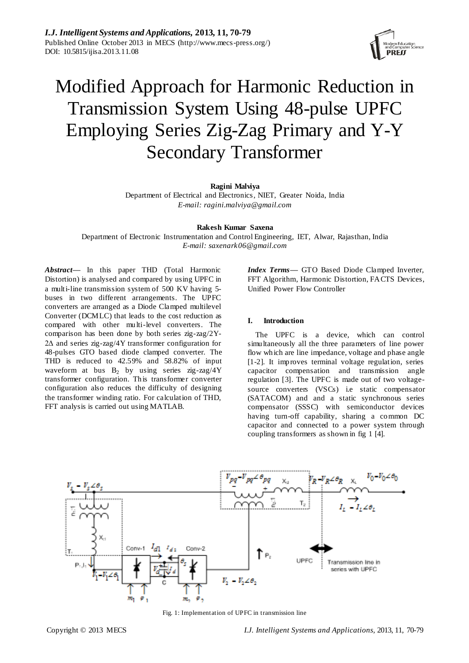

# Modified Approach for Harmonic Reduction in Transmission System Using 48-pulse UPFC Employing Series Zig-Zag Primary and Y-Y Secondary Transformer

# **Ragini Malviya**

Department of Electrical and Electronics, NIET, Greater Noida, India *E-mail: [ragini.malviya@gmail.com](mailto:ragini.malviya@gmail.com)*

**Rakesh Kumar Saxena**

Department of Electronic Instrumentation and Control Engineering, IET, Alwar, Rajasthan, India *E-mail: saxenark06@gmail.com*

*Abstract***—** In this paper THD (Total Harmonic Distortion) is analysed and compared by using UPFC in a multi-line transmission system of 500 KV having 5 buses in two different arrangements. The UPFC converters are arranged as a Diode Clamped multilevel Converter (DCMLC) that leads to the cost reduction as compared with other multi-level converters. The comparison has been done by both series zig-zag/2Y-2Δ and series zig-zag/4Y transformer configuration for 48-pulses GTO based diode clamped converter. The THD is reduced to 42.59% and 58.82% of input waveform at bus  $B_2$  by using series zig-zag/4Y transformer configuration. This transformer converter configuration also reduces the difficulty of designing the transformer winding ratio. For calculation of THD, FFT analysis is carried out using MATLAB.

*Index Terms***—** GTO Based Diode Clamped Inverter, FFT Algorithm, Harmonic Distortion, FACTS Devices, Unified Power Flow Controller

# **I. Introduction**

The UPFC is a device, which can control simultaneously all the three parameters of line power flow which are line impedance, voltage and phase angle [1-2]. It improves terminal voltage regulation, series capacitor compensation and transmission angle regulation [3]. The UPFC is made out of two voltagesource converters (VSCs) i.e static compensator (SATACOM) and and a static synchronous series compensator (SSSC) with semiconductor devices having turn-off capability, sharing a common DC capacitor and connected to a power system through coupling transformers as shown in fig 1 [4].



Fig. 1: Implementation of UPFC in transmission line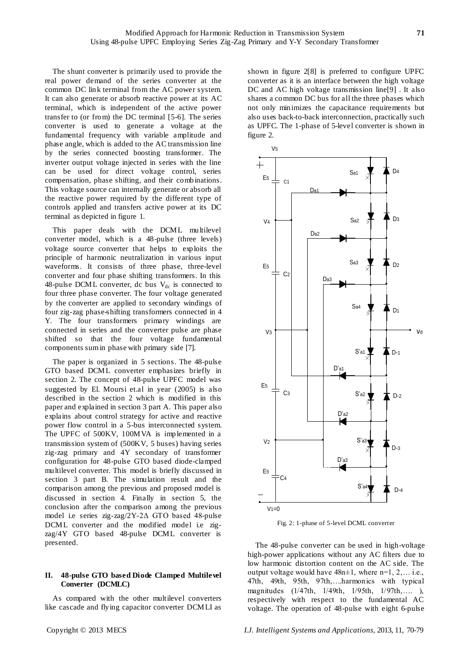The shunt converter is primarily used to provide the real power demand of the series converter at the common DC link terminal from the AC power system. It can also generate or absorb reactive power at its AC terminal, which is independent of the active power transfer to (or from) the DC terminal [5-6]. The series converter is used to generate a voltage at the fundamental frequency with variable amplitude and phase angle, which is added to the AC transmission line by the series connected boosting transformer. The inverter output voltage injected in series with the line can be used for direct voltage control, series compensation, phase shifting, and their combinations. This voltage source can internally generate or absorb all the reactive power required by the different type of controls applied and transfers active power at its DC terminal as depicted in figure 1.

This paper deals with the DCML multilevel converter model, which is a 48-pulse (three levels) voltage source converter that helps to exploits the principle of harmonic neutralization in various input waveforms. It consists of three phase, three-level converter and four phase shifting transformers. In this 48-pulse DCML converter, dc bus  $V_{dc}$  is connected to four three phase converter. The four voltage generated by the converter are applied to secondary windings of four zig-zag phase-shifting transformers connected in 4 Y. The four transformers primary windings are connected in series and the converter pulse are phase shifted so that the four voltage fundamental components sum in phase with primary side [7].

The paper is organized in 5 sections. The 48-pulse GTO based DCML converter emphasizes briefly in section 2. The concept of 48-pulse UPFC model was suggested by El. Moursi et.al in year (2005) is also described in the section 2 which is modified in this paper and explained in section 3 part A. This paper also explains about control strategy for active and reactive power flow control in a 5-bus interconnected system. The UPFC of 500KV, 100MVA is implemented in a transmission system of (500KV, 5 buses) having series zig-zag primary and 4Y secondary of transformer configuration for 48-pulse GTO based diode-clamped multilevel converter. This model is briefly discussed in section 3 part B. The simulation result and the comparison among the previous and proposed model is discussed in section 4. Finally in section 5, the conclusion after the comparison among the previous model i.e series zig-zag/2Y-2Δ GTO based 48-pulse DCML converter and the modified model i.e zigzag/4Y GTO based 48-pulse DCML converter is presented.

# **II. 48-pulse GTO based Diode Clamped Multilevel Converter (DCMLC)**

As compared with the other multilevel converters like cascade and flying capacitor converter DCMLI as shown in figure 2[8] is preferred to configure UPFC converter as it is an interface between the high voltage DC and AC high voltage transmission line[9] . It also shares a common DC bus for all the three phases which not only minimizes the capacitance requirements but also uses back-to-back interconnection, practically such as UPFC. The 1-phase of 5-level converter is shown in figure 2.



Fig. 2: 1-phase of 5-level DCML converter

The 48-pulse converter can be used in high-voltage high-power applications without any AC filters due to low harmonic distortion content on the AC side. The output voltage would have  $48n \pm 1$ , where  $n=1, 2, \ldots$  i.e., 47th, 49th, 95th, 97th,….harmonics with typical magnitudes (1/47th, 1/49th, 1/95th, 1/97th,…. ), respectively with respect to the fundamental AC voltage. The operation of 48-pulse with eight 6-pulse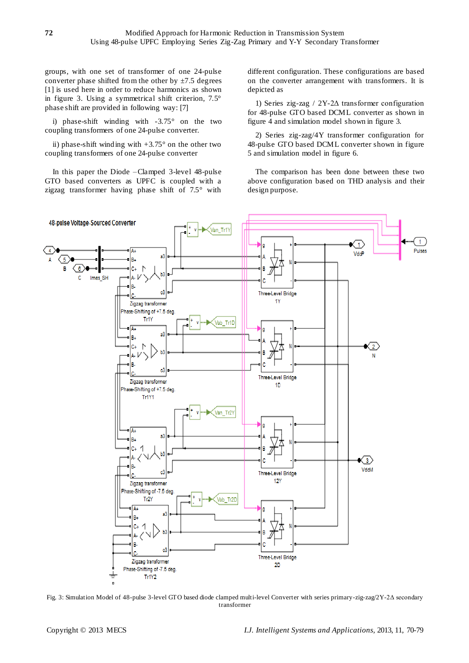groups, with one set of transformer of one 24-pulse converter phase shifted from the other by  $\pm$ 7.5 degrees [1] is used here in order to reduce harmonics as shown in figure 3. Using a symmetrical shift criterion, 7.5° phase shift are provided in following way: [7]

i) phase-shift winding with  $-3.75$  on the two coupling transformers of one 24-pulse converter.

ii) phase-shift winding with  $+3.75$  ° on the other two coupling transformers of one 24-pulse converter

In this paper the Diode –Clamped 3-level 48-pulse GTO based converters as UPFC is coupled with a zigzag transformer having phase shift of 7.5° with different configuration. These configurations are based on the converter arrangement with transformers. It is depicted as

1) Series zig-zag / 2Y-2Δ transformer configuration for 48-pulse GTO based DCML converter as shown in figure 4 and simulation model shown in figure 3.

2) Series zig-zag/4Y transformer configuration for 48-pulse GTO based DCML converter shown in figure 5 and simulation model in figure 6.

The comparison has been done between these two above configuration based on THD analysis and their design purpose.



Fig. 3: Simulation Model of 48-pulse 3-level GTO based diode clamped multi-level Converter with series primary-zig-zag/2Y-2Δ secondary transformer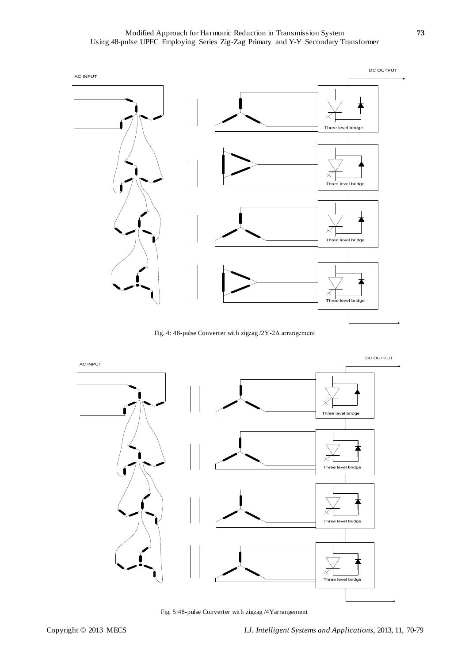Modified Approach for Harmonic Reduction in Transmission System **73** Using 48-pulse UPFC Employing Series Zig-Zag Primary and Y-Y Secondary Transformer



Fig. 4: 48-pulse Converter with zigzag /2Y-2Δ arrangement

![](_page_3_Figure_3.jpeg)

Fig. 5:48-pulse Converter with zigzag /4Yarrangement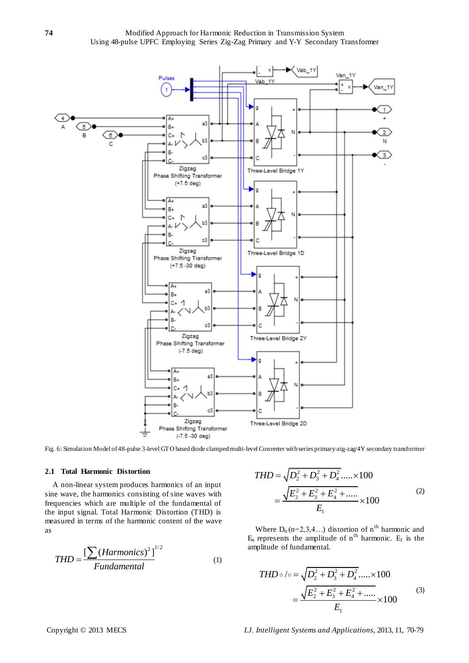**74** Modified Approach for Harmonic Reduction in Transmission System Using 48-pulse UPFC Employing Series Zig-Zag Primary and Y-Y Secondary Transformer

![](_page_4_Figure_1.jpeg)

Fig. 6: Simulation Model of 48-pulse 3-level GTO based diode clamped multi-level Converter with series primary-zig-zag/4Y secondary transformer

#### **2.1 Total Harmonic Distortion**

A non-linear system produces harmonics of an input sine wave, the harmonics consisting of sine waves with frequencies which are multiple of the fundamental of the input signal. Total Harmonic Distortion (THD) is measured in terms of the harmonic content of the wave as

$$
THD = \frac{\left[\sum (Harmonics)^{2}\right]^{1/2}}{Fundamental}
$$
 (1)

$$
THD = \sqrt{D_2^2 + D_3^2 + D_4^2 + \dots} \times 100
$$
  
= 
$$
\frac{\sqrt{E_2^2 + E_3^2 + E_4^2 + \dots}}{E_1} \times 100
$$
 (2)

Where  $D_n$  (n=2,3,4...) distortion of n<sup>th</sup> harmonic and  $E_n$  represents the amplitude of  $n^{th}$  harmonic.  $E_1$  is the amplitude of fundamental.

$$
THD \circ \text{ } \circ = \sqrt{D_2^2 + D_3^2 + D_4^2 + \dots} \times 100
$$
\n
$$
= \frac{\sqrt{E_2^2 + E_3^2 + E_4^2 + \dots}}{E_1} \times 100
$$
\n(3)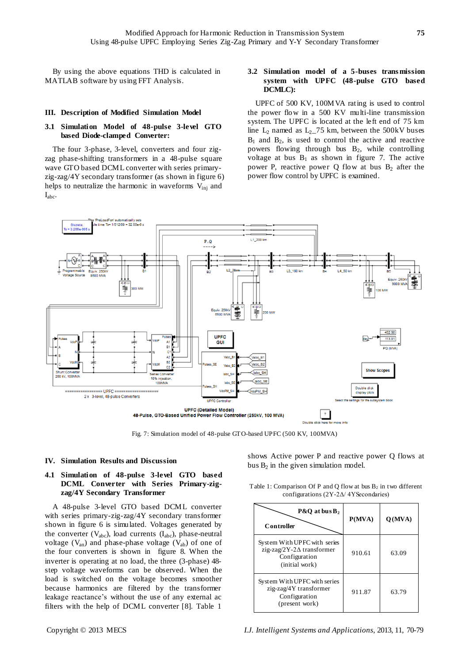By using the above equations THD is calculated in MATLAB software by using FFT Analysis.

#### **III. Description of Modified Simulation Model**

# **3.1 Simulation Model of 48-pulse 3-level GTO based Diode-clamped Converter:**

The four 3-phase, 3-level, converters and four zigzag phase-shifting transformers in a 48-pulse square wave GTO based DCML converter with series primaryzig-zag/4Y secondary transformer (as shown in figure 6) helps to neutralize the harmonic in waveforms  $V_{\text{ini}}$  and  $I_{abc}$ .

# **3.2 Simulation model of a 5-buses trans mission system with UPFC (48-pulse GTO based DCMLC):**

UPFC of 500 KV, 100MVA rating is used to control the power flow in a 500 KV multi-line transmission system. The UPFC is located at the left end of 75 km line  $L_2$  named as  $L_2$  – 75 km, between the 500kV buses  $B_1$  and  $B_2$ , is used to control the active and reactive powers flowing through bus B2, while controlling voltage at bus  $B_1$  as shown in figure 7. The active power P, reactive power Q flow at bus  $B_2$  after the power flow control by UPFC is examined.

![](_page_5_Figure_7.jpeg)

Fig. 7: Simulation model of 48-pulse GTO-based UPFC (500 KV, 100MVA)

**IV. Simulation Results and Discussion**

# **4.1 Simulation of 48-pulse 3-level GTO based DCML Converter with Series Primary-zigzag/4Y Secondary Transformer**

A 48-pulse 3-level GTO based DCML converter with series primary-zig-zag/4Y secondary transformer shown in figure 6 is simulated. Voltages generated by the converter  $(V_{abc})$ , load currents  $(I_{abc})$ , phase-neutral voltage  $(V_{an})$  and phase-phase voltage  $(V_{ab})$  of one of the four converters is shown in figure 8. When the inverter is operating at no load, the three (3-phase) 48 step voltage waveforms can be observed. When the load is switched on the voltage becomes smoother because harmonics are filtered by the transformer leakage reactance's without the use of any external ac filters with the help of DCML converter [8]. Table 1

shows Active power P and reactive power Q flows at bus  $B_2$  in the given simulation model.

Table 1: Comparison Of P and Q flow at bus  $B_2$  in two different configurations (2Y-2Δ/ 4YSecondaries)

| $P&O$ at bus $B2$<br>Controller                                                                      | P(MVA) | Q(MVA) |
|------------------------------------------------------------------------------------------------------|--------|--------|
| System With UPFC with series<br>zig-zag/2Y-2 $\Delta$ transformer<br>Configuration<br>(initial work) | 910.61 | 63.09  |
| System With UPFC with series<br>zig-zag/4Y transformer<br>Configuration<br>(present work)            | 911.87 | 63.79  |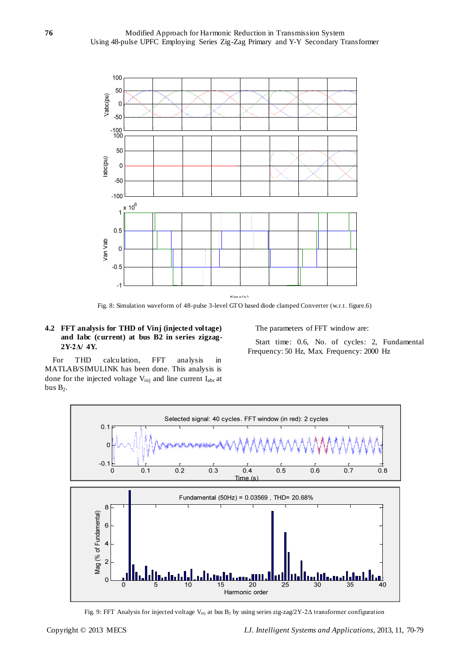![](_page_6_Figure_1.jpeg)

Fig. 8: Simulation waveform of 48-pulse 3-level GTO based diode clamped Converter (w.r.t. figure.6)

# **4.2 FFT analysis for THD of Vinj (injected voltage) and Iabc (current) at bus B2 in series zigzag-2Y-2Δ/ 4Y.**

The parameters of FFT window are:

Start time: 0.6, No. of cycles: 2, Fundamental Frequency: 50 Hz, Max. Frequency: 2000 Hz

For THD calculation, FFT analysis in MATLAB/SIMULINK has been done. This analysis is done for the injected voltage  $V_{\text{inj}}$  and line current  $I_{abc}$  at bus  $B_2$ .

![](_page_6_Figure_7.jpeg)

Fig. 9: FFT Analysis for injected voltage Vinj at bus B<sup>2</sup> by using series zig-zag/2Y-2Δ transformer configuration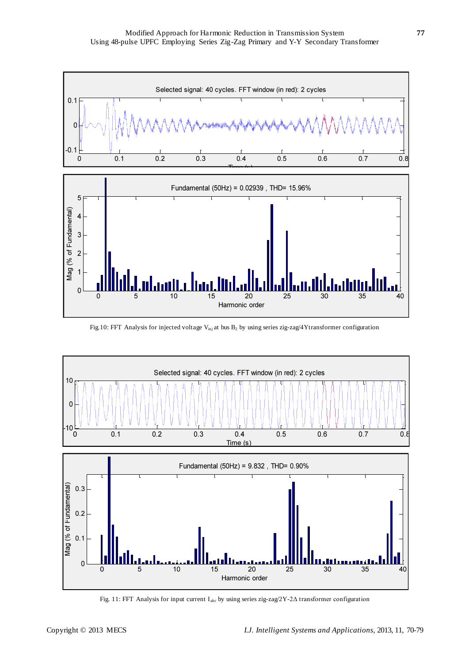![](_page_7_Figure_1.jpeg)

![](_page_7_Figure_2.jpeg)

Fig.10: FFT Analysis for injected voltage V<sub>inj</sub> at bus B<sub>2</sub> by using series zig-zag/4Ytransformer configuration

![](_page_7_Figure_4.jpeg)

Fig. 11: FFT Analysis for input current Iabc by using series zig-zag/2Y-2Δ transformer configuration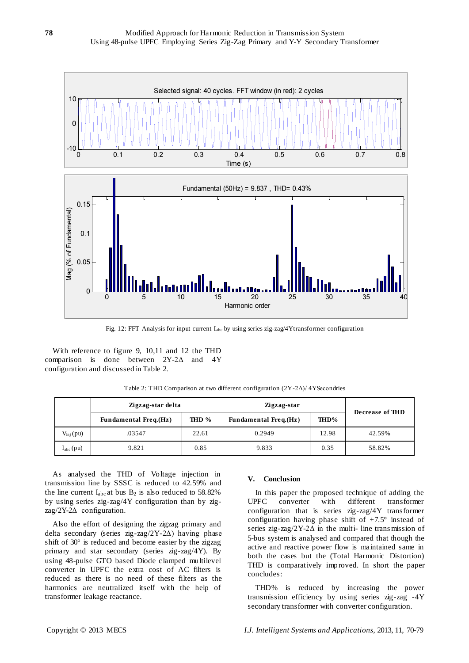![](_page_8_Figure_1.jpeg)

Fig. 12: FFT Analysis for input current Iabc by using series zig-zag/4Ytransformer configuration

With reference to figure 9, 10,11 and 12 the THD comparison is done between  $2Y-2\Delta$  and configuration and discussed in Table 2.

| Table 2: THD Comparison at two different configuration $(2Y-2\Delta)/4Y$ Secondries |  |  |  |  |
|-------------------------------------------------------------------------------------|--|--|--|--|
|-------------------------------------------------------------------------------------|--|--|--|--|

|                      |                              | Zigzag-star delta |                              | Zigzag-star |                 |
|----------------------|------------------------------|-------------------|------------------------------|-------------|-----------------|
|                      | <b>Fundamental Freq.(Hz)</b> | THD %             | <b>Fundamental Freq.(Hz)</b> | THD%        | Decrease of THD |
| $V_{\text{inj}}(pu)$ | .03547                       | 22.61             | 0.2949                       | 12.98       | 42.59%          |
| $I_{abc}$ (pu)       | 9.821                        | 0.85              | 9.833                        | 0.35        | 58.82%          |

As analysed the THD of Voltage injection in transmission line by SSSC is reduced to 42.59% and the line current  $I_{abc}$  at bus  $B_2$  is also reduced to 58.82% by using series zig-zag/4Y configuration than by zigzag/2Y-2Δ configuration.

Also the effort of designing the zigzag primary and delta secondary (series zig-zag/2Y-2Δ) having phase shift of 30° is reduced and become easier by the zigzag primary and star secondary (series zig-zag/4Y). By using 48-pulse GTO based Diode clamped multilevel converter in UPFC the extra cost of AC filters is reduced as there is no need of these filters as the harmonics are neutralized itself with the help of transformer leakage reactance.

#### **V. Conclusion**

In this paper the proposed technique of adding the UPFC converter with different transformer configuration that is series zig-zag/4Y transformer configuration having phase shift of  $+7.5^{\circ}$  instead of series zig-zag/2Y-2 $\Delta$  in the multi- line transmission of 5-bus system is analysed and compared that though the active and reactive power flow is maintained same in both the cases but the (Total Harmonic Distortion) THD is comparatively improved. In short the paper concludes:

THD% is reduced by increasing the power transmission efficiency by using series zig-zag -4Y secondary transformer with converter configuration.